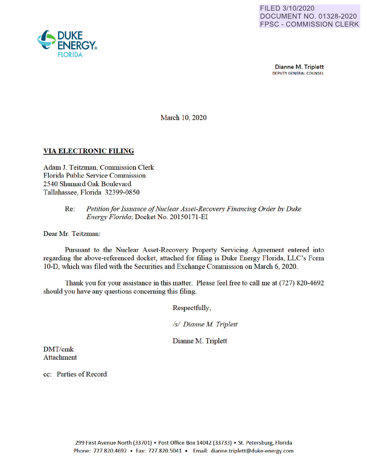

Dianne M. Triplett DEPUTY GENERAL COUNSEL

March 10, 2020

## **VIA ELECTRONIC FILING**

Adam J. Teitzman, Commission Clerk Florida Public Service Commission 2540 Shumard Oak Boulevard Tallahassee, Florida 32399-0850

## Re: *Petition for Issuance of Nuclear Asset-Recovery Financing Order* by *Duke Energy Florida;* Docket No. 20150171 -EI

Dear Mr. Teitzman:

Pursuant to the Nuclear Asset-Recovery Property Servicing Agreement entered into regarding the above-referenced docket, attached for filing is Duke Energy Florida, LLC's Form 10-D, which was filed with the Securities and Exchange Commission on March 6, 2020.

Thank you for your assistance in this matter. Please feel free to call me at (727) 820-4692 should you have any questions concerning this filing.

Respectfully,

*Isl Dianne M Triplett* 

Dianne M. Triplett

DMT/cmk Attachment

cc: Parties of Record

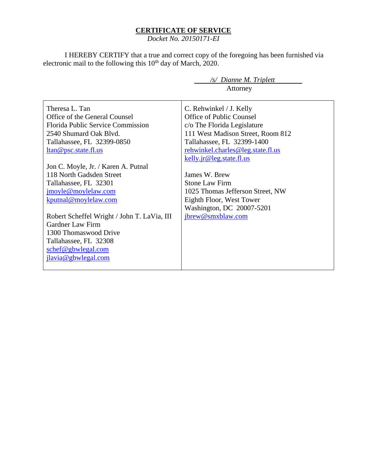## **CERTIFICATE OF SERVICE**

*Docket No. 20150171-EI*

I HEREBY CERTIFY that a true and correct copy of the foregoing has been furnished via electronic mail to the following this  $10<sup>th</sup>$  day of March, 2020.

> */s/ Dianne M. Triplett* Attorney

Theresa L. Tan Office of the General Counsel Florida Public Service Commission 2540 Shumard Oak Blvd. Tallahassee, FL 32399-0850 ltan@psc.state.fl.us Jon C. Moyle, Jr. / Karen A. Putnal 118 North Gadsden Street Tallahassee, FL 32301 jmoyle@moylelaw.com kputnal@moylelaw.com Robert Scheffel Wright / John T. LaVia, III Gardner Law Firm 1300 Thomaswood Drive Tallahassee, FL 32308 schef@gbwlegal.com jlavia@gbwlegal.com C. Rehwinkel / J. Kelly Office of Public Counsel c/o The Florida Legislature 111 West Madison Street, Room 812 Tallahassee, FL 32399-1400 rehwinkel.charles@leg.state.fl.us kelly.jr@leg.state.fl.us James W. Brew Stone Law Firm 1025 Thomas Jefferson Street, NW Eighth Floor, West Tower Washington, DC 20007-5201 jbrew@smxblaw.com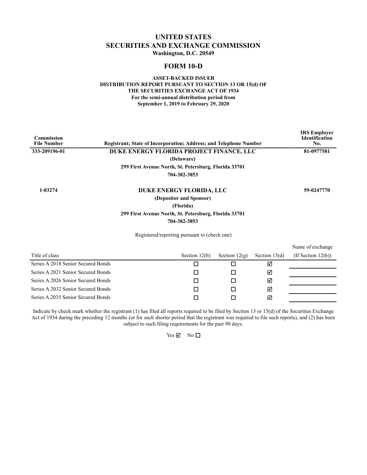## **UNITED STATES SECURITIES AND EXCHANGE COMMISSION Washington, D.C. 20549**

## **FORM 10-D**

#### **ASSET-BACKED ISSUER DISTRIBUTION REPORT PURSUANT TO SECTION 13 OR 15(d) OF THE SECURITIES EXCHANGE ACT OF 1934 For the semi-annual distribution period from September 1, 2019 to February 29, 2020**

| <b>Commission</b><br><b>File Number</b> | <b>Registrant: State of Incorporation: Address: and Telephone Number</b> |                 |                 |                 | <b>IRS</b> Employer<br><b>Identification</b><br>No. |
|-----------------------------------------|--------------------------------------------------------------------------|-----------------|-----------------|-----------------|-----------------------------------------------------|
| 333-209196-01                           | DUKE ENERGY FLORIDA PROJECT FINANCE, LLC                                 |                 |                 |                 | 81-0977581                                          |
|                                         | (Delaware)                                                               |                 |                 |                 |                                                     |
|                                         | 299 First Avenue North, St. Petersburg, Florida 33701                    |                 |                 |                 |                                                     |
|                                         | 704-382-3853                                                             |                 |                 |                 |                                                     |
| 1-03274                                 | DUKE ENERGY FLORIDA, LLC                                                 |                 |                 |                 | 59-0247770                                          |
|                                         | (Depositor and Sponsor)                                                  |                 |                 |                 |                                                     |
|                                         | (Florida)                                                                |                 |                 |                 |                                                     |
|                                         | 299 First Avenue North, St. Petersburg, Florida 33701                    |                 |                 |                 |                                                     |
|                                         | 704-382-3853                                                             |                 |                 |                 |                                                     |
|                                         | Registered/reporting pursuant to (check one)                             |                 |                 |                 |                                                     |
|                                         |                                                                          |                 |                 |                 | Name of exchange                                    |
| Title of class                          |                                                                          | Section $12(b)$ | Section $12(g)$ | Section $15(d)$ | (If Section $12(b)$ )                               |
| Series A 2018 Senior Secured Bonds      |                                                                          | □               | п               | ☑               |                                                     |

| Series A 2021 Senior Secured Bonds |  | ⊠ |  |
|------------------------------------|--|---|--|
| Series A 2026 Senior Secured Bonds |  | ⊠ |  |
| Series A 2032 Senior Secured Bonds |  | 罓 |  |
| Series A 2035 Senior Secured Bonds |  | 罓 |  |

Indicate by check mark whether the registrant (1) has filed all reports required to be filed by Section 13 or 15(d) of the Securities Exchange Act of 1934 during the preceding 12 months (or for such shorter period that the registrant was required to file such reports), and (2) has been subject to such filing requirements for the past 90 days.

 $Yes \n  $\nabla$  No \n  $\square$$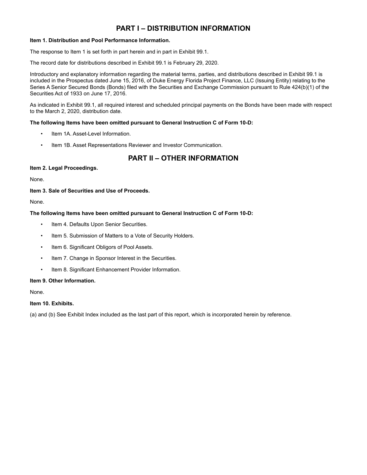## **PART I – DISTRIBUTION INFORMATION**

#### **Item 1. Distribution and Pool Performance Information.**

The response to Item 1 is set forth in part herein and in part in Exhibit 99.1.

The record date for distributions described in Exhibit 99.1 is February 29, 2020.

Introductory and explanatory information regarding the material terms, parties, and distributions described in Exhibit 99.1 is included in the Prospectus dated June 15, 2016, of Duke Energy Florida Project Finance, LLC (Issuing Entity) relating to the Series A Senior Secured Bonds (Bonds) filed with the Securities and Exchange Commission pursuant to Rule 424(b)(1) of the Securities Act of 1933 on June 17, 2016.

As indicated in Exhibit 99.1, all required interest and scheduled principal payments on the Bonds have been made with respect to the March 2, 2020, distribution date.

#### **The following Items have been omitted pursuant to General Instruction C of Form 10-D:**

- Item 1A. Asset-Level Information.
- Item 1B. Asset Representations Reviewer and Investor Communication.

# **PART II – OTHER INFORMATION**

#### **Item 2. Legal Proceedings.**

None.

#### **Item 3. Sale of Securities and Use of Proceeds.**

None.

#### **The following Items have been omitted pursuant to General Instruction C of Form 10-D:**

- Item 4. Defaults Upon Senior Securities.
- Item 5. Submission of Matters to a Vote of Security Holders.
- Item 6. Significant Obligors of Pool Assets.
- Item 7. Change in Sponsor Interest in the Securities.
- Item 8. Significant Enhancement Provider Information.

#### **Item 9. Other Information.**

None.

#### **Item 10. Exhibits.**

(a) and (b) See Exhibit Index included as the last part of this report, which is incorporated herein by reference.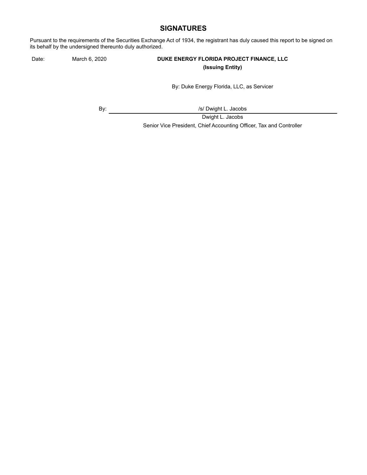## **SIGNATURES**

Pursuant to the requirements of the Securities Exchange Act of 1934, the registrant has duly caused this report to be signed on its behalf by the undersigned thereunto duly authorized.

## Date: March 6, 2020 **DUKE ENERGY FLORIDA PROJECT FINANCE, LLC (Issuing Entity)**

By: Duke Energy Florida, LLC, as Servicer

By:  $\sqrt{s}$  Dwight L. Jacobs

Dwight L. Jacobs Senior Vice President, Chief Accounting Officer, Tax and Controller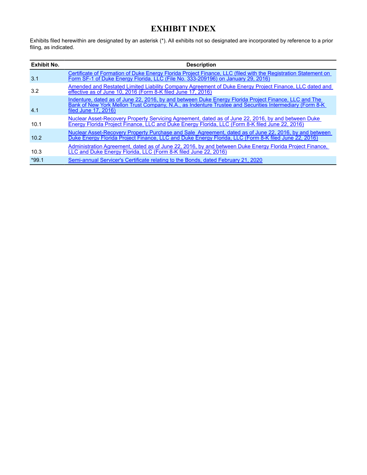# **EXHIBIT INDEX**

Exhibits filed herewithin are designated by an asterisk (\*). All exhibits not so designated are incorporated by reference to a prior filing, as indicated.

| Exhibit No. | <b>Description</b>                                                                                                                                                                                                                        |
|-------------|-------------------------------------------------------------------------------------------------------------------------------------------------------------------------------------------------------------------------------------------|
| 3.1         | Certificate of Formation of Duke Energy Florida Project Finance, LLC (filed with the Registration Statement on<br>Form SF-1 of Duke Energy Florida, LLC (File No. 333-209196) on January 29, 2016)                                        |
| 3.2         | Amended and Restated Limited Liability Company Agreement of Duke Energy Project Finance, LLC dated and<br>effective as of June 10, 2016 (Form 8-K filed June 17, 2016)                                                                    |
| 4.1         | Indenture, dated as of June 22, 2016, by and between Duke Energy Florida Project Finance, LLC and The<br>Bank of New York Mellon Trust Company, N.A., as Indenture Trustee and Securities Intermediary (Form 8-K)<br>filed June 17, 2016) |
| 10.1        | Nuclear Asset-Recovery Property Servicing Agreement, dated as of June 22, 2016, by and between Duke<br>Energy Florida Project Finance, LLC and Duke Energy Florida, LLC (Form 8-K filed June 22, 2016)                                    |
| 10.2        | Nuclear Asset-Recovery Property Purchase and Sale Agreement, dated as of June 22, 2016, by and between<br>Duke Energy Florida Project Finance, LLC and Duke Energy Florida, LLC (Form 8-K filed June 22, 2016)                            |
| 10.3        | Administration Agreement, dated as of June 22, 2016, by and between Duke Energy Florida Project Finance,<br>LLC and Duke Energy Florida, LLC (Form 8-K filed June 22, 2016)                                                               |
| $*99.1$     | Semi-annual Servicer's Certificate relating to the Bonds, dated February 21, 2020                                                                                                                                                         |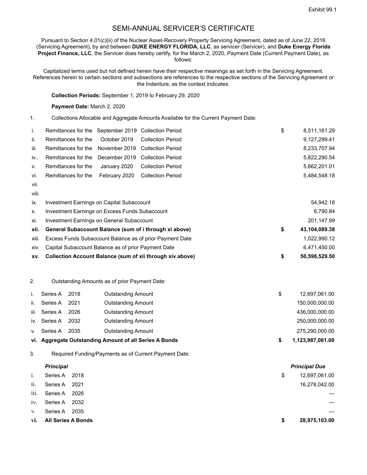## SEMI-ANNUAL SERVICER'S CERTIFICATE

Pursuant to Section 4.01(c)(ii) of the Nuclear Asset-Recovery Property Servicing Agreement, dated as of June 22, 2016 (Servicing Agreement), by and between **DUKE ENERGY FLORIDA, LLC**, as servicer (Servicer), and **Duke Energy Florida Project Finance, LLC**, the Servicer does hereby certify, for the March 2, 2020, Payment Date (Current Payment Date), as follows:

Capitalized terms used but not defined herein have their respective meanings as set forth in the Servicing Agreement. References herein to certain sections and subsections are references to the respective sections of the Servicing Agreement or the Indenture, as the context indicates.

**Collection Periods:** September 1, 2019 to February 29, 2020

**Payment Date:** March 2, 2020

1. Collections Allocable and Aggregate Amounts Available for the Current Payment Date:

| i.   | Remittances for the September 2019 Collection Period |  | \$ | 8,511,161.29 |
|------|------------------------------------------------------|--|----|--------------|
| ii.  | Remittances for the October 2019 Collection Period   |  |    | 9,127,299.41 |
| iii. | Remittances for the November 2019 Collection Period  |  |    | 8,233,707.94 |
| iv   | Remittances for the December 2019 Collection Period  |  |    | 5,822,290.54 |
| V.   | Remittances for the January 2020 Collection Period   |  |    | 5,662,201.01 |
| vi.  | Remittances for the February 2020 Collection Period  |  |    | 5.484.548.18 |
| vii. |                                                      |  |    |              |

viii.

| XV.   | Collection Account Balance (sum of xii through xiv above) | 50,598,529.50       |
|-------|-----------------------------------------------------------|---------------------|
| XIV.  | Capital Subaccount Balance as of prior Payment Date       | 6,471,450.00        |
| xiii. | Excess Funds Subaccount Balance as of prior Payment Date  | 1,022,990.12        |
| xii.  | General Subaccount Balance (sum of i through xi above)    | \$<br>43,104,089.38 |
| xi.   | Investment Earnings on General Subaccount                 | 201.147.99          |
| Х.    | Investment Earnings on Excess Funds Subaccount            | 6,790.84            |
| İX.   | Investment Earnings on Capital Subaccount                 | 54,942.18           |

#### 2. Outstanding Amounts as of prior Payment Date:

|     |               |      | vi. Aggregate Outstanding Amount of all Series A Bonds | 1,123,987,061.00 |
|-----|---------------|------|--------------------------------------------------------|------------------|
|     | v. Series A   | 2035 | Outstanding Amount                                     | 275,290,000.00   |
|     | iv. Series A  | 2032 | <b>Outstanding Amount</b>                              | 250,000,000.00   |
|     | iii. Series A | 2026 | <b>Outstanding Amount</b>                              | 436,000,000.00   |
| ii. | Series A      | 2021 | <b>Outstanding Amount</b>                              | 150,000,000.00   |
|     | Series A      | 2018 | <b>Outstanding Amount</b>                              | 12,697,061.00    |

3. Required Funding/Payments as of Current Payment Date:

# *Principal Principal Due* i. Series A 2018 **12,697,061.00** ii. Series A 2021 2001 2002 16,278,042.00 iii. Series A 2026 iv. Series A 2032 v. Series A 2035 **vi. All Series A Bonds \$ 28,975,103.00**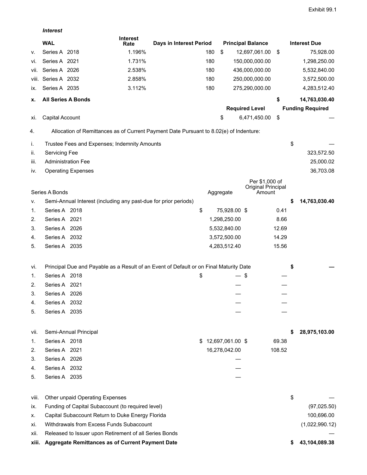*Interest*

|          | <b>WAL</b>                                                                             | <b>Interest</b><br>Rate | Days in Interest Period |     |                  | <b>Principal Balance</b>     |        |    | <b>Interest Due</b>     |
|----------|----------------------------------------------------------------------------------------|-------------------------|-------------------------|-----|------------------|------------------------------|--------|----|-------------------------|
| ۷.       | Series A 2018                                                                          | 1.196%                  |                         | 180 | \$               | 12,697,061.00                | \$     |    | 75,928.00               |
| vi.      | Series A 2021                                                                          | 1.731%                  |                         | 180 |                  | 150,000,000.00               |        |    | 1,298,250.00            |
| VII.     | Series A 2026                                                                          | 2.538%                  |                         | 180 |                  | 436,000,000.00               |        |    | 5,532,840.00            |
| VIII.    | Series A 2032                                                                          | 2.858%                  |                         | 180 |                  | 250,000,000.00               |        |    | 3,572,500.00            |
| IX.      | Series A 2035                                                                          | 3.112%                  |                         | 180 |                  | 275,290,000.00               |        |    | 4,283,512.40            |
| х.       | <b>All Series A Bonds</b>                                                              |                         |                         |     |                  |                              | \$     |    | 14,763,030.40           |
|          |                                                                                        |                         |                         |     |                  | <b>Required Level</b>        |        |    | <b>Funding Required</b> |
| XI.      | Capital Account                                                                        |                         |                         |     | \$               | 6,471,450.00                 | \$     |    |                         |
| 4.       | Allocation of Remittances as of Current Payment Date Pursuant to 8.02(e) of Indenture: |                         |                         |     |                  |                              |        |    |                         |
| İ.       | Trustee Fees and Expenses; Indemnity Amounts                                           |                         |                         |     |                  |                              |        | \$ |                         |
| ii.      | <b>Servicing Fee</b>                                                                   |                         |                         |     |                  |                              |        |    | 323,572.50              |
| iii.     | <b>Administration Fee</b>                                                              |                         |                         |     |                  |                              |        |    | 25,000.02               |
| IV.      | <b>Operating Expenses</b>                                                              |                         |                         |     |                  |                              |        |    | 36,703.08               |
|          |                                                                                        |                         |                         |     |                  | Per \$1,000 of               |        |    |                         |
|          | Series A Bonds                                                                         |                         |                         |     | Aggregate        | Original Principal<br>Amount |        |    |                         |
| v.       | Semi-Annual Interest (including any past-due for prior periods)                        |                         |                         |     |                  |                              |        | S  | 14,763,030.40           |
| 1.       | Series A 2018                                                                          |                         | \$                      |     | 75,928.00 \$     |                              | 0.41   |    |                         |
| 2.       | Series A 2021                                                                          |                         |                         |     | 1,298,250.00     |                              | 8.66   |    |                         |
| 3.       | Series A 2026                                                                          |                         |                         |     | 5,532,840.00     |                              | 12.69  |    |                         |
| 4.       | Series A 2032                                                                          |                         |                         |     | 3,572,500.00     |                              | 14.29  |    |                         |
| 5.       | Series A 2035                                                                          |                         |                         |     | 4,283,512.40     |                              | 15.56  |    |                         |
| Vİ.      | Principal Due and Payable as a Result of an Event of Default or on Final Maturity Date |                         |                         |     |                  |                              |        | \$ |                         |
| 1.       | Series A 2018                                                                          |                         | \$                      |     |                  | \$                           |        |    |                         |
| 2.       | Series A 2021                                                                          |                         |                         |     |                  |                              |        |    |                         |
| 3.       | Series A 2026                                                                          |                         |                         |     |                  |                              |        |    |                         |
| 4.       | Series A 2032                                                                          |                         |                         |     |                  |                              |        |    |                         |
| 5.       | Series A 2035                                                                          |                         |                         |     |                  |                              |        |    |                         |
|          |                                                                                        |                         |                         |     |                  |                              |        |    |                         |
| vii.     | Semi-Annual Principal                                                                  |                         |                         |     |                  |                              |        | S  | 28,975,103.00           |
| 1.       | Series A 2018                                                                          |                         |                         | \$  | 12,697,061.00 \$ |                              | 69.38  |    |                         |
| 2.       | Series A 2021                                                                          |                         |                         |     | 16,278,042.00    |                              | 108.52 |    |                         |
| 3.       | Series A 2026<br>Series A 2032                                                         |                         |                         |     |                  |                              |        |    |                         |
| 4.<br>5. | Series A 2035                                                                          |                         |                         |     |                  |                              |        |    |                         |
|          |                                                                                        |                         |                         |     |                  |                              |        |    |                         |
| VIII.    | Other unpaid Operating Expenses                                                        |                         |                         |     |                  |                              |        | \$ |                         |
| İX.      | Funding of Capital Subaccount (to required level)                                      |                         |                         |     |                  |                              |        |    | (97, 025.50)            |
| х.       | Capital Subaccount Return to Duke Energy Florida                                       |                         |                         |     |                  |                              |        |    | 100,696.00              |
| Xİ.      | Withdrawals from Excess Funds Subaccount                                               |                         |                         |     |                  |                              |        |    | (1,022,990.12)          |
| XII.     | Released to Issuer upon Retirement of all Series Bonds                                 |                         |                         |     |                  |                              |        |    |                         |
| xiii.    | Aggregate Remittances as of Current Payment Date                                       |                         |                         |     |                  |                              |        |    | 43,104,089.38           |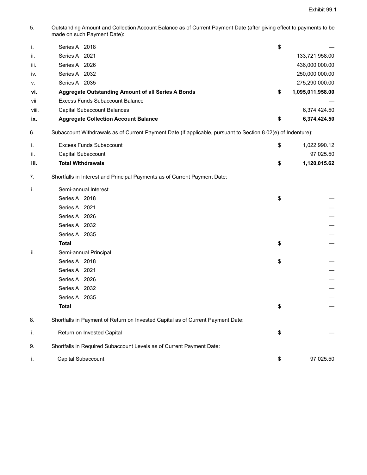5. Outstanding Amount and Collection Account Balance as of Current Payment Date (after giving effect to payments to be made on such Payment Date):

|       | Series A 2018                                      | \$                     |
|-------|----------------------------------------------------|------------------------|
| ii.   | Series A 2021                                      | 133,721,958.00         |
| iii.  | Series A 2026                                      | 436,000,000.00         |
| iv.   | Series A 2032                                      | 250,000,000.00         |
| V.    | Series A 2035                                      | 275,290,000.00         |
| vi.   | Aggregate Outstanding Amount of all Series A Bonds | \$<br>1,095,011,958.00 |
| vii.  | <b>Excess Funds Subaccount Balance</b>             |                        |
| viii. | Capital Subaccount Balances                        | 6,374,424.50           |
| ix.   | <b>Aggregate Collection Account Balance</b>        | \$<br>6,374,424.50     |

6. Subaccount Withdrawals as of Current Payment Date (if applicable, pursuant to Section 8.02(e) of Indenture):

|      | Excess Funds Subaccount  | 1,022,990.12 |
|------|--------------------------|--------------|
| ii.  | Capital Subaccount       | 97,025.50    |
| iii. | <b>Total Withdrawals</b> | 1,120,015.62 |

7. Shortfalls in Interest and Principal Payments as of Current Payment Date:

| i.  | Semi-annual Interest                                                            |                 |
|-----|---------------------------------------------------------------------------------|-----------------|
|     | Series A 2018                                                                   | \$              |
|     | Series A 2021                                                                   |                 |
|     | Series A 2026                                                                   |                 |
|     | Series A 2032                                                                   |                 |
|     | Series A 2035                                                                   |                 |
|     | <b>Total</b>                                                                    | \$              |
| ii. | Semi-annual Principal                                                           |                 |
|     | Series A 2018                                                                   | \$              |
|     | Series A 2021                                                                   |                 |
|     | Series A 2026                                                                   |                 |
|     | Series A 2032                                                                   |                 |
|     | Series A 2035                                                                   |                 |
|     | <b>Total</b>                                                                    | \$              |
| 8.  | Shortfalls in Payment of Return on Invested Capital as of Current Payment Date: |                 |
| i.  | Return on Invested Capital                                                      | \$              |
| 9.  | Shortfalls in Required Subaccount Levels as of Current Payment Date:            |                 |
| Τ.  | Capital Subaccount                                                              | \$<br>97,025.50 |